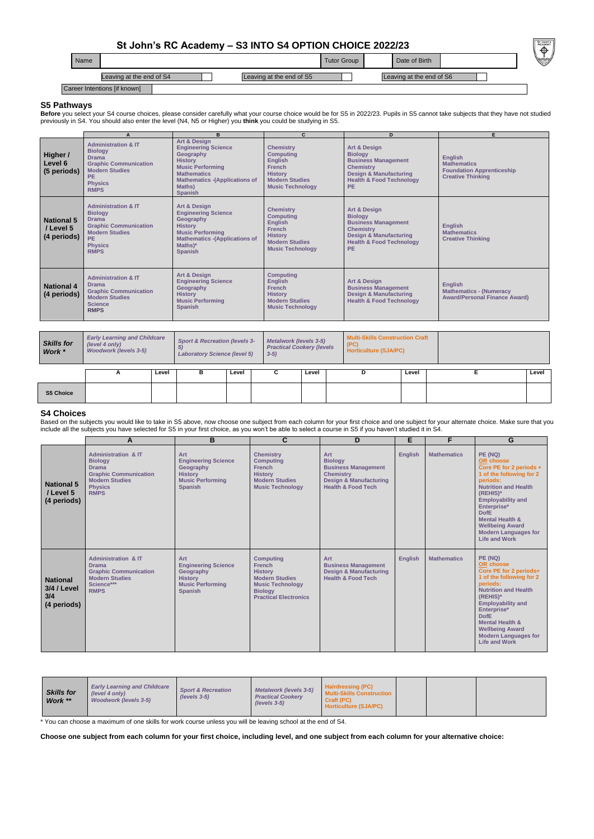## **St John's RC Academy – S3 INTO S4 OPTION CHOICE 2022/23**

## **S5 Pathways**

Before you select your S4 course choices, please consider carefully what your course choice would be for S5 in 2022/23. Pupils in S5 cannot take subjects that they have not studied previously in S4. You should also enter the level (N4, N5 or Higher) you **think** you could be studying in S5.

Based on the subjects you would like to take in S5 above, now choose one subject from each column for your first choice and one subject for your alternate choice. Make sure that you include all the subjects you have selected for S5 in your first choice, as you won't be able to select a course in S5 if you haven't studied it in S4.

## **S4 Choices**

| Name |                              |                          | Tutor Group | Date of Birth            | $\overline{ }$<br>V |  |
|------|------------------------------|--------------------------|-------------|--------------------------|---------------------|--|
|      | Leaving at the end of S4     | Leaving at the end of S5 |             | Leaving at the end of S6 |                     |  |
|      | Career Intentions [if known] |                          |             |                          |                     |  |

\* You can choose a maximum of one skills for work course unless you will be leaving school at the end of S4.

**Choose one subject from each column for your first choice, including level, and one subject from each column for your alternative choice:**

|                                               | A                                                                                                                                                                 | B.                                                                                                                                                                                                 | $\mathbf{C}$                                                                                                                                  | D                                                                                                                                                                                    | E.                                                                                                   |
|-----------------------------------------------|-------------------------------------------------------------------------------------------------------------------------------------------------------------------|----------------------------------------------------------------------------------------------------------------------------------------------------------------------------------------------------|-----------------------------------------------------------------------------------------------------------------------------------------------|--------------------------------------------------------------------------------------------------------------------------------------------------------------------------------------|------------------------------------------------------------------------------------------------------|
| Higher /<br>Level 6<br>(5 periods)            | <b>Administration &amp; IT</b><br><b>Biology</b><br><b>Drama</b><br><b>Graphic Communication</b><br><b>Modern Studies</b><br>PE.<br><b>Physics</b><br><b>RMPS</b> | Art & Design<br><b>Engineering Science</b><br>Geography<br><b>History</b><br><b>Music Performing</b><br><b>Mathematics</b><br><b>Mathematics -(Applications of</b><br>Maths)<br><b>Spanish</b>     | <b>Chemistry</b><br><b>Computing</b><br><b>English</b><br><b>French</b><br><b>History</b><br><b>Modern Studies</b><br><b>Music Technology</b> | <b>Art &amp; Design</b><br><b>Biology</b><br><b>Business Management</b><br><b>Chemistry</b><br><b>Design &amp; Manufacturing</b><br><b>Health &amp; Food Technology</b><br><b>PE</b> | <b>English</b><br><b>Mathematics</b><br><b>Foundation Apprenticeship</b><br><b>Creative Thinking</b> |
| <b>National 5</b><br>/ Level 5<br>(4 periods) | <b>Administration &amp; IT</b><br><b>Biology</b><br><b>Drama</b><br><b>Graphic Communication</b><br><b>Modern Studies</b><br>PE.<br><b>Physics</b><br><b>RMPS</b> | <b>Art &amp; Design</b><br><b>Engineering Science</b><br>Geography<br><b>History</b><br><b>Music Performing</b><br><b>Mathematics - (Applications of</b><br>$Maths$ <sup>*</sup><br><b>Spanish</b> | <b>Chemistry</b><br><b>Computing</b><br><b>English</b><br><b>French</b><br><b>History</b><br><b>Modern Studies</b><br><b>Music Technology</b> | <b>Art &amp; Design</b><br><b>Biology</b><br><b>Business Management</b><br><b>Chemistry</b><br><b>Design &amp; Manufacturing</b><br><b>Health &amp; Food Technology</b><br><b>PE</b> | <b>English</b><br><b>Mathematics</b><br><b>Creative Thinking</b>                                     |
| <b>National 4</b><br>(4 periods)              | <b>Administration &amp; IT</b><br><b>Drama</b><br><b>Graphic Communication</b><br><b>Modern Studies</b><br><b>Science</b><br><b>RMPS</b>                          | Art & Design<br><b>Engineering Science</b><br>Geography<br><b>History</b><br><b>Music Performing</b><br><b>Spanish</b>                                                                             | <b>Computing</b><br><b>English</b><br><b>French</b><br><b>History</b><br><b>Modern Studies</b><br><b>Music Technology</b>                     | <b>Art &amp; Design</b><br><b>Business Management</b><br><b>Design &amp; Manufacturing</b><br><b>Health &amp; Food Technology</b>                                                    | <b>English</b><br><b>Mathematics - (Numeracy</b><br><b>Award/Personal Finance Award)</b>             |

| <b>Skills for</b><br>Work * | <b>Early Learning and Childcare</b><br>(level 4 only)<br><b>Woodwork (levels 3-5)</b> |       | <b>Sport &amp; Recreation (levels 3-</b><br>5)<br><b>Laboratory Science (level 5)</b> |       | $3-5)$ | <b>Metalwork (levels 3-5)</b><br><b>Practical Cookery (levels</b> |  | <b>Multi-Skills Construction Craft</b><br>(PC)<br><b>Horticulture (SJA/PC)</b> |       |       |
|-----------------------------|---------------------------------------------------------------------------------------|-------|---------------------------------------------------------------------------------------|-------|--------|-------------------------------------------------------------------|--|--------------------------------------------------------------------------------|-------|-------|
|                             | -                                                                                     | Level | в                                                                                     | Level | C      | Level                                                             |  |                                                                                | Level | Level |
| <b>S5 Choice</b>            |                                                                                       |       |                                                                                       |       |        |                                                                   |  |                                                                                |       |       |

|                                                             | A                                                                                                                                                          | B                                                                                                             | C                                                                                                                                                         | D                                                                                                                                             | E              | F                  | G                                                                                                                                                                                                                                                                                                              |
|-------------------------------------------------------------|------------------------------------------------------------------------------------------------------------------------------------------------------------|---------------------------------------------------------------------------------------------------------------|-----------------------------------------------------------------------------------------------------------------------------------------------------------|-----------------------------------------------------------------------------------------------------------------------------------------------|----------------|--------------------|----------------------------------------------------------------------------------------------------------------------------------------------------------------------------------------------------------------------------------------------------------------------------------------------------------------|
| <b>National 5</b><br>/ Level 5<br>(4 periods)               | <b>Administration &amp; IT</b><br><b>Biology</b><br><b>Drama</b><br><b>Graphic Communication</b><br><b>Modern Studies</b><br><b>Physics</b><br><b>RMPS</b> | Art<br><b>Engineering Science</b><br>Geography<br><b>History</b><br><b>Music Performing</b><br><b>Spanish</b> | <b>Chemistry</b><br><b>Computing</b><br><b>French</b><br><b>History</b><br><b>Modern Studies</b><br><b>Music Technology</b>                               | Art<br><b>Biology</b><br><b>Business Management</b><br><b>Chemistry</b><br><b>Design &amp; Manufacturing</b><br><b>Health &amp; Food Tech</b> | <b>English</b> | <b>Mathematics</b> | PE (NQ)<br>OR choose<br>Core PE for 2 periods +<br>1 of the following for 2<br>periods:<br><b>Nutrition and Health</b><br>$(REHIS)^*$<br><b>Employability and</b><br>Enterprise*<br><b>DofE</b><br><b>Mental Health &amp;</b><br><b>Wellbeing Award</b><br><b>Modern Languages for</b><br><b>Life and Work</b> |
| <b>National</b><br><b>3/4 / Level</b><br>3/4<br>(4 periods) | <b>Administration &amp; IT</b><br><b>Drama</b><br><b>Graphic Communication</b><br><b>Modern Studies</b><br>Science***<br><b>RMPS</b>                       | Art<br><b>Engineering Science</b><br>Geography<br><b>History</b><br><b>Music Performing</b><br><b>Spanish</b> | <b>Computing</b><br><b>French</b><br><b>History</b><br><b>Modern Studies</b><br><b>Music Technology</b><br><b>Biology</b><br><b>Practical Electronics</b> | Art<br><b>Business Management</b><br><b>Design &amp; Manufacturing</b><br><b>Health &amp; Food Tech</b>                                       | <b>English</b> | <b>Mathematics</b> | PE (NQ)<br>OR choose<br>Core PE for 2 periods+<br>1 of the following for 2<br>periods:<br><b>Nutrition and Health</b><br>$(REHIS)^*$<br><b>Employability and</b><br>Enterprise*<br><b>DofE</b><br><b>Mental Health &amp;</b><br><b>Wellbeing Award</b>                                                         |

|  |  |  | <b>Modern Languages for</b> |
|--|--|--|-----------------------------|
|  |  |  | <b>Life and Work</b>        |
|  |  |  |                             |

| Craft (PC)<br><b>Woodwork (levels 3-5)</b><br>Work **<br>$(levels 3-5)$<br><b>Horticulture (SJA/PC)</b> | <b>Skills for</b> | <b>Early Learning and Childcare</b><br>(level 4 only) | <b>Sport &amp; Recreation</b><br>$(levels 3-5)$ | <b>Metalwork (levels 3-5)</b><br><b>Practical Cookery</b> | <b>Hairdressing (PC)</b><br><b>Multi-Skills Construction</b> |  |  |  |
|---------------------------------------------------------------------------------------------------------|-------------------|-------------------------------------------------------|-------------------------------------------------|-----------------------------------------------------------|--------------------------------------------------------------|--|--|--|
|---------------------------------------------------------------------------------------------------------|-------------------|-------------------------------------------------------|-------------------------------------------------|-----------------------------------------------------------|--------------------------------------------------------------|--|--|--|